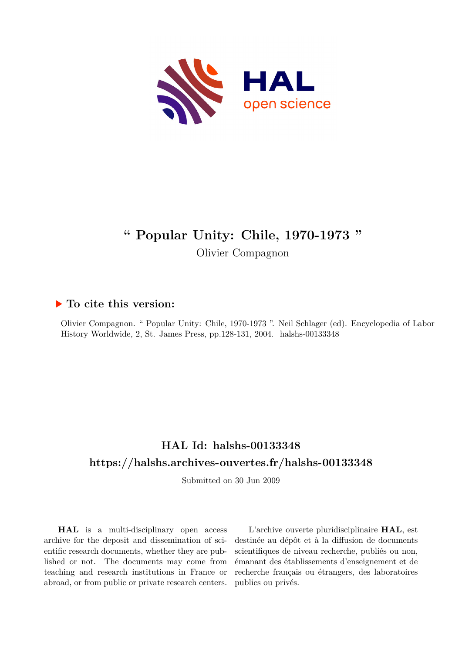

## **" Popular Unity: Chile, 1970-1973 "**

Olivier Compagnon

## **To cite this version:**

Olivier Compagnon. " Popular Unity: Chile, 1970-1973 ". Neil Schlager (ed). Encyclopedia of Labor History Worldwide, 2, St. James Press, pp.128-131, 2004. halshs-00133348

## **HAL Id: halshs-00133348 <https://halshs.archives-ouvertes.fr/halshs-00133348>**

Submitted on 30 Jun 2009

**HAL** is a multi-disciplinary open access archive for the deposit and dissemination of scientific research documents, whether they are published or not. The documents may come from teaching and research institutions in France or abroad, or from public or private research centers.

L'archive ouverte pluridisciplinaire **HAL**, est destinée au dépôt et à la diffusion de documents scientifiques de niveau recherche, publiés ou non, émanant des établissements d'enseignement et de recherche français ou étrangers, des laboratoires publics ou privés.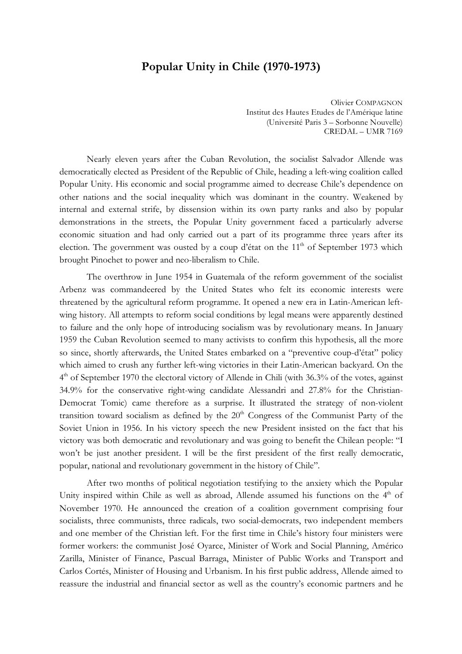## **Popular Unity in Chile (1970-1973)**

Olivier COMPAGNON Institut des Hautes Etudes de l'Amérique latine (Université Paris 3 – Sorbonne Nouvelle) CREDAL – UMR 7169

Nearly eleven years after the Cuban Revolution, the socialist Salvador Allende was democratically elected as President of the Republic of Chile, heading a left-wing coalition called Popular Unity. His economic and social programme aimed to decrease Chile's dependence on other nations and the social inequality which was dominant in the country. Weakened by internal and external strife, by dissension within its own party ranks and also by popular demonstrations in the streets, the Popular Unity government faced a particularly adverse economic situation and had only carried out a part of its programme three years after its election. The government was ousted by a coup d'état on the  $11<sup>th</sup>$  of September 1973 which brought Pinochet to power and neo-liberalism to Chile.

The overthrow in June 1954 in Guatemala of the reform government of the socialist Arbenz was commandeered by the United States who felt its economic interests were threatened by the agricultural reform programme. It opened a new era in Latin-American leftwing history. All attempts to reform social conditions by legal means were apparently destined to failure and the only hope of introducing socialism was by revolutionary means. In January 1959 the Cuban Revolution seemed to many activists to confirm this hypothesis, all the more so since, shortly afterwards, the United States embarked on a "preventive coup-d'état" policy which aimed to crush any further left-wing victories in their Latin-American backyard. On the 4<sup>th</sup> of September 1970 the electoral victory of Allende in Chili (with 36.3% of the votes, against 34.9% for the conservative right-wing candidate Alessandri and 27.8% for the Christian-Democrat Tomic) came therefore as a surprise. It illustrated the strategy of non-violent transition toward socialism as defined by the  $20<sup>th</sup>$  Congress of the Communist Party of the Soviet Union in 1956. In his victory speech the new President insisted on the fact that his victory was both democratic and revolutionary and was going to benefit the Chilean people: "I won't be just another president. I will be the first president of the first really democratic, popular, national and revolutionary government in the history of Chile".

After two months of political negotiation testifying to the anxiety which the Popular Unity inspired within Chile as well as abroad, Allende assumed his functions on the  $4<sup>th</sup>$  of November 1970. He announced the creation of a coalition government comprising four socialists, three communists, three radicals, two social-democrats, two independent members and one member of the Christian left. For the first time in Chile's history four ministers were former workers: the communist José Oyarce, Minister of Work and Social Planning, Américo Zarilla, Minister of Finance, Pascual Barraga, Minister of Public Works and Transport and Carlos Cortés, Minister of Housing and Urbanism. In his first public address, Allende aimed to reassure the industrial and financial sector as well as the country's economic partners and he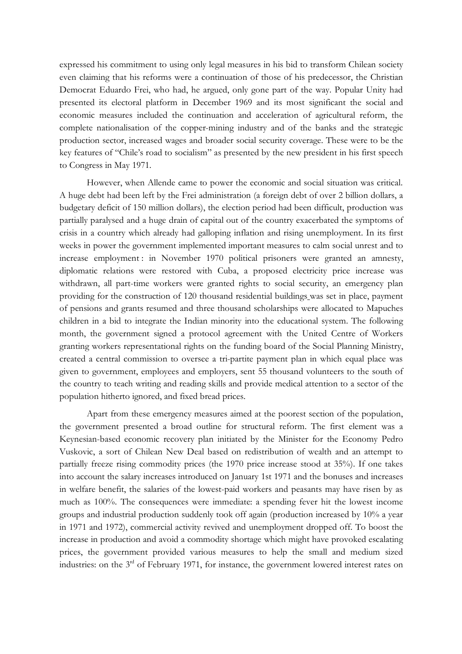expressed his commitment to using only legal measures in his bid to transform Chilean society even claiming that his reforms were a continuation of those of his predecessor, the Christian Democrat Eduardo Frei, who had, he argued, only gone part of the way. Popular Unity had presented its electoral platform in December 1969 and its most significant the social and economic measures included the continuation and acceleration of agricultural reform, the complete nationalisation of the copper-mining industry and of the banks and the strategic production sector, increased wages and broader social security coverage. These were to be the key features of "Chile's road to socialism" as presented by the new president in his first speech to Congress in May 1971.

However, when Allende came to power the economic and social situation was critical. A huge debt had been left by the Frei administration (a foreign debt of over 2 billion dollars, a budgetary deficit of 150 million dollars), the election period had been difficult, production was partially paralysed and a huge drain of capital out of the country exacerbated the symptoms of crisis in a country which already had galloping inflation and rising unemployment. In its first weeks in power the government implemented important measures to calm social unrest and to increase employment: in November 1970 political prisoners were granted an amnesty, diplomatic relations were restored with Cuba, a proposed electricity price increase was withdrawn, all part-time workers were granted rights to social security, an emergency plan providing for the construction of 120 thousand residential buildings was set in place, payment of pensions and grants resumed and three thousand scholarships were allocated to Mapuches children in a bid to integrate the Indian minority into the educational system. The following month, the government signed a protocol agreement with the United Centre of Workers granting workers representational rights on the funding board of the Social Planning Ministry, created a central commission to oversee a tri-partite payment plan in which equal place was given to government, employees and employers, sent 55 thousand volunteers to the south of the country to teach writing and reading skills and provide medical attention to a sector of the population hitherto ignored, and fixed bread prices.

Apart from these emergency measures aimed at the poorest section of the population, the government presented a broad outline for structural reform. The first element was a Keynesian-based economic recovery plan initiated by the Minister for the Economy Pedro Vuskovic, a sort of Chilean New Deal based on redistribution of wealth and an attempt to partially freeze rising commodity prices (the 1970 price increase stood at 35%). If one takes into account the salary increases introduced on January 1st 1971 and the bonuses and increases in welfare benefit, the salaries of the lowest-paid workers and peasants may have risen by as much as 100%. The consequences were immediate: a spending fever hit the lowest income groups and industrial production suddenly took off again (production increased by 10% a year in 1971 and 1972), commercial activity revived and unemployment dropped off. To boost the increase in production and avoid a commodity shortage which might have provoked escalating prices, the government provided various measures to help the small and medium sized industries: on the 3<sup>rd</sup> of February 1971, for instance, the government lowered interest rates on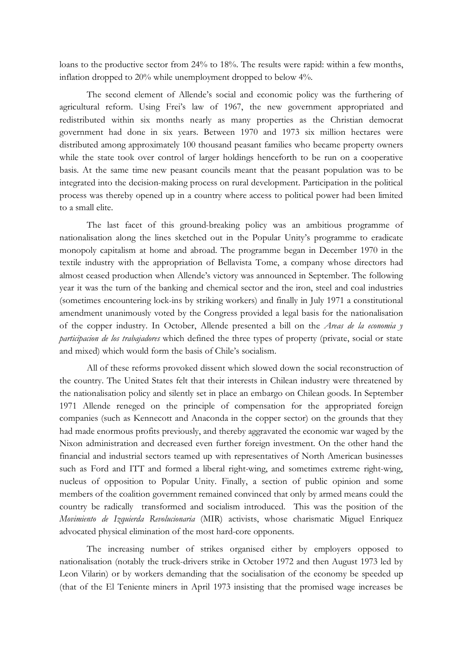loans to the productive sector from 24% to 18%. The results were rapid: within a few months, inflation dropped to 20% while unemployment dropped to below 4%.

The second element of Allende's social and economic policy was the furthering of agricultural reform. Using Frei's law of 1967, the new government appropriated and redistributed within six months nearly as many properties as the Christian democrat government had done in six years. Between 1970 and 1973 six million hectares were distributed among approximately 100 thousand peasant families who became property owners while the state took over control of larger holdings henceforth to be run on a cooperative basis. At the same time new peasant councils meant that the peasant population was to be integrated into the decision-making process on rural development. Participation in the political process was thereby opened up in a country where access to political power had been limited to a small elite.

The last facet of this ground-breaking policy was an ambitious programme of nationalisation along the lines sketched out in the Popular Unity's programme to eradicate monopoly capitalism at home and abroad. The programme began in December 1970 in the textile industry with the appropriation of Bellavista Tome, a company whose directors had almost ceased production when Allende's victory was announced in September. The following year it was the turn of the banking and chemical sector and the iron, steel and coal industries (sometimes encountering lock-ins by striking workers) and finally in July 1971 a constitutional amendment unanimously voted by the Congress provided a legal basis for the nationalisation of the copper industry. In October, Allende presented a bill on the *Areas de la economia y participacion de los trabajadores* which defined the three types of property (private, social or state and mixed) which would form the basis of Chile's socialism.

All of these reforms provoked dissent which slowed down the social reconstruction of the country. The United States felt that their interests in Chilean industry were threatened by the nationalisation policy and silently set in place an embargo on Chilean goods. In September 1971 Allende reneged on the principle of compensation for the appropriated foreign companies (such as Kennecott and Anaconda in the copper sector) on the grounds that they had made enormous profits previously, and thereby aggravated the economic war waged by the Nixon administration and decreased even further foreign investment. On the other hand the financial and industrial sectors teamed up with representatives of North American businesses such as Ford and ITT and formed a liberal right-wing, and sometimes extreme right-wing, nucleus of opposition to Popular Unity. Finally, a section of public opinion and some members of the coalition government remained convinced that only by armed means could the country be radically transformed and socialism introduced. This was the position of the *Movimiento de Izquierda Revolucionaria* (MIR) activists, whose charismatic Miguel Enriquez advocated physical elimination of the most hard-core opponents.

The increasing number of strikes organised either by employers opposed to nationalisation (notably the truck-drivers strike in October 1972 and then August 1973 led by Leon Vilarin) or by workers demanding that the socialisation of the economy be speeded up (that of the El Teniente miners in April 1973 insisting that the promised wage increases be